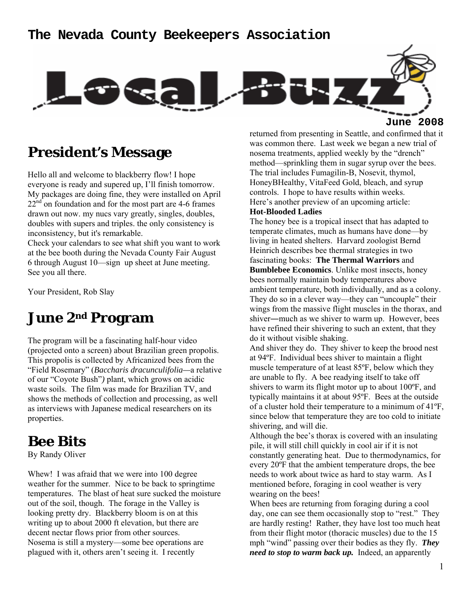### **The Nevada County Beekeepers Association**



**June 2008**

## **President's Message**

Hello all and welcome to blackberry flow! I hope everyone is ready and supered up, I'll finish tomorrow. My packages are doing fine, they were installed on April  $22<sup>nd</sup>$  on foundation and for the most part are 4-6 frames drawn out now. my nucs vary greatly, singles, doubles, doubles with supers and triples. the only consistency is inconsistency, but it's remarkable.

Check your calendars to see what shift you want to work at the bee booth during the Nevada County Fair August 6 through August 10—sign up sheet at June meeting. See you all there.

Your President, Rob Slay

# **June 2nd Program**

The program will be a fascinating half-hour video (projected onto a screen) about Brazilian green propolis. This propolis is collected by Africanized bees from the "Field Rosemary" (*Baccharis dracunculifolia—*a relative of our "Coyote Bush"*)* plant, which grows on acidic waste soils. The film was made for Brazilian TV, and shows the methods of collection and processing, as well as interviews with Japanese medical researchers on its properties.

### **Bee Bits**

By Randy Oliver

Whew! I was afraid that we were into 100 degree weather for the summer. Nice to be back to springtime temperatures. The blast of heat sure sucked the moisture out of the soil, though. The forage in the Valley is looking pretty dry. Blackberry bloom is on at this writing up to about 2000 ft elevation, but there are decent nectar flows prior from other sources. Nosema is still a mystery—some bee operations are plagued with it, others aren't seeing it. I recently

returned from presenting in Seattle, and confirmed that it was common there. Last week we began a new trial of nosema treatments, applied weekly by the "drench" method—sprinkling them in sugar syrup over the bees. The trial includes Fumagilin-B, Nosevit, thymol, HoneyBHealthy, VitaFeed Gold, bleach, and syrup controls. I hope to have results within weeks. Here's another preview of an upcoming article: **Hot-Blooded Ladies** 

The honey bee is a tropical insect that has adapted to temperate climates, much as humans have done—by living in heated shelters. Harvard zoologist Bernd Heinrich describes bee thermal strategies in two fascinating books: **The Thermal Warriors** and **Bumblebee Economics**. Unlike most insects, honey bees normally maintain body temperatures above ambient temperature, both individually, and as a colony. They do so in a clever way—they can "uncouple" their wings from the massive flight muscles in the thorax, and shiver―much as we shiver to warm up. However, bees have refined their shivering to such an extent, that they do it without visible shaking.

And shiver they do. They shiver to keep the brood nest at 94ºF. Individual bees shiver to maintain a flight muscle temperature of at least 85ºF, below which they are unable to fly. A bee readying itself to take off shivers to warm its flight motor up to about 100ºF, and typically maintains it at about 95ºF. Bees at the outside of a cluster hold their temperature to a minimum of 41ºF, since below that temperature they are too cold to initiate shivering, and will die.

Although the bee's thorax is covered with an insulating pile, it will still chill quickly in cool air if it is not constantly generating heat. Due to thermodynamics, for every 20ºF that the ambient temperature drops, the bee needs to work about twice as hard to stay warm. As I mentioned before, foraging in cool weather is very wearing on the bees!

When bees are returning from foraging during a cool day, one can see them occasionally stop to "rest." They are hardly resting! Rather, they have lost too much heat from their flight motor (thoracic muscles) due to the 15 mph "wind" passing over their bodies as they fly. *They need to stop to warm back up.* Indeed, an apparently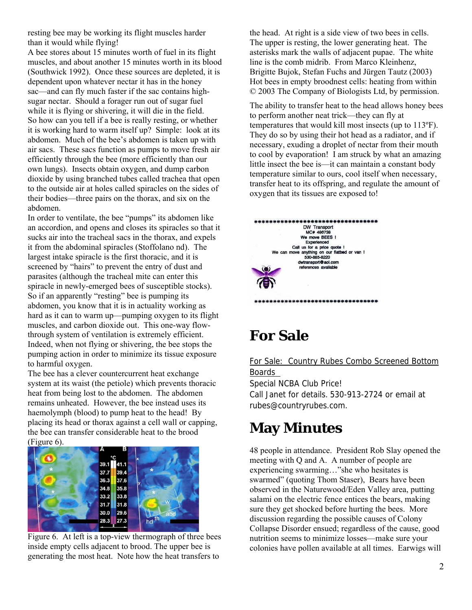resting bee may be working its flight muscles harder than it would while flying!

A bee stores about 15 minutes worth of fuel in its flight muscles, and about another 15 minutes worth in its blood (Southwick 1992). Once these sources are depleted, it is dependent upon whatever nectar it has in the honey sac—and can fly much faster if the sac contains highsugar nectar. Should a forager run out of sugar fuel while it is flying or shivering, it will die in the field. So how can you tell if a bee is really resting, or whether it is working hard to warm itself up? Simple: look at its abdomen. Much of the bee's abdomen is taken up with air sacs. These sacs function as pumps to move fresh air efficiently through the bee (more efficiently than our own lungs). Insects obtain oxygen, and dump carbon dioxide by using branched tubes called trachea that open to the outside air at holes called spiracles on the sides of their bodies—three pairs on the thorax, and six on the abdomen.

In order to ventilate, the bee "pumps" its abdomen like an accordion, and opens and closes its spiracles so that it sucks air into the tracheal sacs in the thorax, and expels it from the abdominal spiracles (Stoffolano nd). The largest intake spiracle is the first thoracic, and it is screened by "hairs" to prevent the entry of dust and parasites (although the tracheal mite can enter this spiracle in newly-emerged bees of susceptible stocks). So if an apparently "resting" bee is pumping its abdomen, you know that it is in actuality working as hard as it can to warm up—pumping oxygen to its flight muscles, and carbon dioxide out. This one-way flowthrough system of ventilation is extremely efficient. Indeed, when not flying or shivering, the bee stops the pumping action in order to minimize its tissue exposure to harmful oxygen.

The bee has a clever countercurrent heat exchange system at its waist (the petiole) which prevents thoracic heat from being lost to the abdomen. The abdomen remains unheated. However, the bee instead uses its haemolymph (blood) to pump heat to the head! By placing its head or thorax against a cell wall or capping, the bee can transfer considerable heat to the brood (Figure 6).



Figure 6. At left is a top-view thermograph of three bees inside empty cells adjacent to brood. The upper bee is generating the most heat. Note how the heat transfers to

the head. At right is a side view of two bees in cells. The upper is resting, the lower generating heat. The asterisks mark the walls of adjacent pupae. The white line is the comb midrib. From Marco Kleinhenz, Brigitte Bujok, Stefan Fuchs and Jürgen Tautz (2003) Hot bees in empty broodnest cells: heating from within © 2003 The Company of Biologists Ltd, by permission.

The ability to transfer heat to the head allows honey bees to perform another neat trick—they can fly at temperatures that would kill most insects (up to 113ºF). They do so by using their hot head as a radiator, and if necessary, exuding a droplet of nectar from their mouth to cool by evaporation! I am struck by what an amazing little insect the bee is—it can maintain a constant body temperature similar to ours, cool itself when necessary, transfer heat to its offspring, and regulate the amount of oxygen that its tissues are exposed to!

| *******                                                      |
|--------------------------------------------------------------|
| DW Transport                                                 |
| MC# 486738                                                   |
| We move BEES I                                               |
| Experienced                                                  |
| Call us for a price quote !                                  |
| We can move anything on our flatbed or van !<br>530-885-8220 |
| dwtransport@aol.com                                          |
| references available                                         |
|                                                              |
|                                                              |
|                                                              |

# **For Sale**

For Sale: Country Rubes Combo Screened Bottom Boards Special NCBA Club Price!

Call Janet for details. 530-913-2724 or email at rubes@countryrubes.com.

# **May Minutes**

48 people in attendance. President Rob Slay opened the meeting with Q and A. A number of people are experiencing swarming…"she who hesitates is swarmed" (quoting Thom Staser), Bears have been observed in the Naturewood/Eden Valley area, putting salami on the electric fence entices the bears, making sure they get shocked before hurting the bees. More discussion regarding the possible causes of Colony Collapse Disorder ensued; regardless of the cause, good nutrition seems to minimize losses—make sure your colonies have pollen available at all times. Earwigs will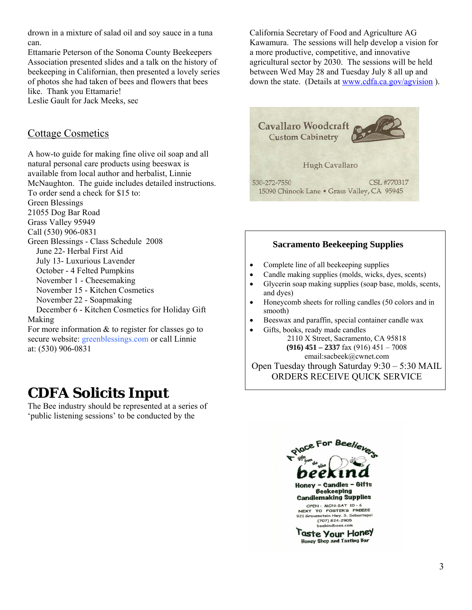drown in a mixture of salad oil and soy sauce in a tuna can.

Ettamarie Peterson of the Sonoma County Beekeepers Association presented slides and a talk on the history of beekeeping in Californian, then presented a lovely series of photos she had taken of bees and flowers that bees like. Thank you Ettamarie! Leslie Gault for Jack Meeks, sec

### Cottage Cosmetics

A how-to guide for making fine olive oil soap and all natural personal care products using beeswax is available from local author and herbalist, Linnie McNaughton. The guide includes detailed instructions. To order send a check for \$15 to: Green Blessings 21055 Dog Bar Road Grass Valley 95949 Call (530) 906-0831 Green Blessings - Class Schedule 2008 June 22- Herbal First Aid July 13- Luxurious Lavender October - 4 Felted Pumpkins November 1 - Cheesemaking November 15 - Kitchen Cosmetics November 22 - Soapmaking December 6 - Kitchen Cosmetics for Holiday Gift Making For more information & to register for classes go to secure website: greenblessings.com or call Linnie at: (530) 906-0831

## **CDFA Solicits Input**

The Bee industry should be represented at a series of 'public listening sessions' to be conducted by the

California Secretary of Food and Agriculture AG Kawamura. The sessions will help develop a vision for a more productive, competitive, and innovative agricultural sector by 2030. The sessions will be held between Wed May 28 and Tuesday July 8 all up and down the state. (Details at www.cdfa.ca.gov/agvision).



#### **Sacramento Beekeeping Supplies**

- Complete line of all beekeeping supplies
- Candle making supplies (molds, wicks, dyes, scents)
- Glycerin soap making supplies (soap base, molds, scents, and dyes)
- Honeycomb sheets for rolling candles (50 colors and in smooth)
- Beeswax and paraffin, special container candle wax
- Gifts, books, ready made candles

2110 X Street, Sacramento, CA 95818 **(916) 451 – 2337** fax (916) 451 – 7008 email:sacbeek@cwnet.com

Open Tuesday through Saturday 9:30 – 5:30 MAIL ORDERS RECEIVE QUICK SERVICE